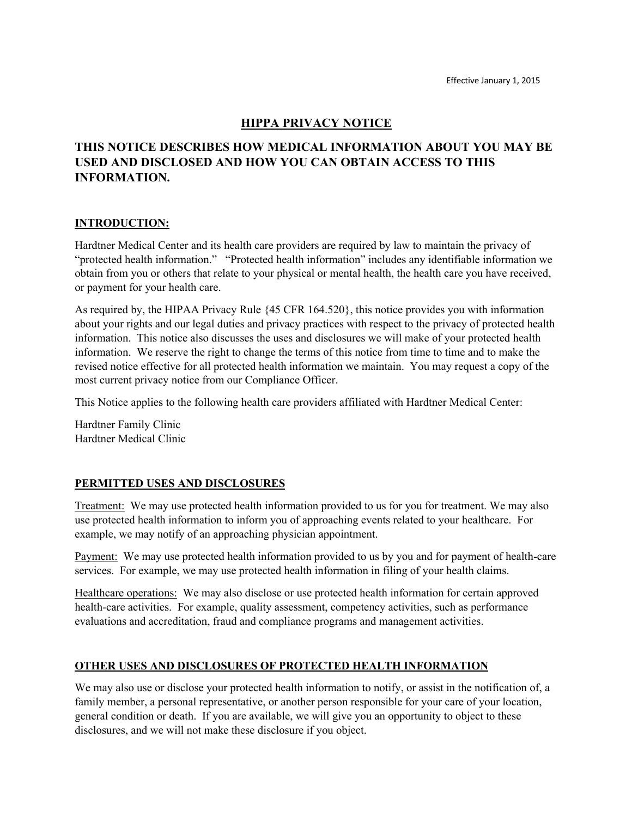## **HIPPA PRIVACY NOTICE**

# **THIS NOTICE DESCRIBES HOW MEDICAL INFORMATION ABOUT YOU MAY BE USED AND DISCLOSED AND HOW YOU CAN OBTAIN ACCESS TO THIS INFORMATION.**

#### **INTRODUCTION:**

Hardtner Medical Center and its health care providers are required by law to maintain the privacy of "protected health information." "Protected health information" includes any identifiable information we obtain from you or others that relate to your physical or mental health, the health care you have received, or payment for your health care.

As required by, the HIPAA Privacy Rule {45 CFR 164.520}, this notice provides you with information about your rights and our legal duties and privacy practices with respect to the privacy of protected health information. This notice also discusses the uses and disclosures we will make of your protected health information. We reserve the right to change the terms of this notice from time to time and to make the revised notice effective for all protected health information we maintain. You may request a copy of the most current privacy notice from our Compliance Officer.

This Notice applies to the following health care providers affiliated with Hardtner Medical Center:

Hardtner Family Clinic Hardtner Medical Clinic

#### **PERMITTED USES AND DISCLOSURES**

Treatment: We may use protected health information provided to us for you for treatment. We may also use protected health information to inform you of approaching events related to your healthcare. For example, we may notify of an approaching physician appointment.

Payment: We may use protected health information provided to us by you and for payment of health-care services. For example, we may use protected health information in filing of your health claims.

Healthcare operations: We may also disclose or use protected health information for certain approved health-care activities. For example, quality assessment, competency activities, such as performance evaluations and accreditation, fraud and compliance programs and management activities.

#### **OTHER USES AND DISCLOSURES OF PROTECTED HEALTH INFORMATION**

We may also use or disclose your protected health information to notify, or assist in the notification of, a family member, a personal representative, or another person responsible for your care of your location, general condition or death. If you are available, we will give you an opportunity to object to these disclosures, and we will not make these disclosure if you object.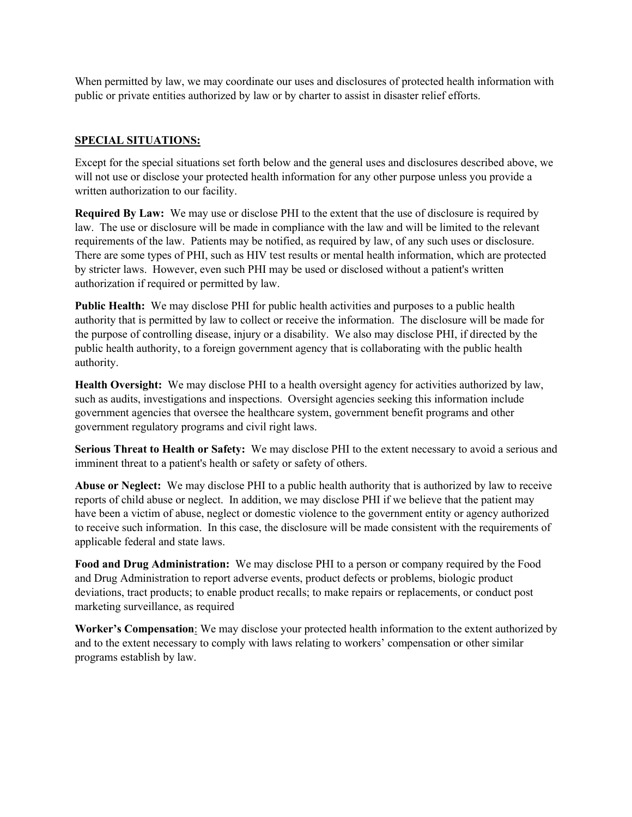When permitted by law, we may coordinate our uses and disclosures of protected health information with public or private entities authorized by law or by charter to assist in disaster relief efforts.

### **SPECIAL SITUATIONS:**

Except for the special situations set forth below and the general uses and disclosures described above, we will not use or disclose your protected health information for any other purpose unless you provide a written authorization to our facility.

**Required By Law:** We may use or disclose PHI to the extent that the use of disclosure is required by law. The use or disclosure will be made in compliance with the law and will be limited to the relevant requirements of the law. Patients may be notified, as required by law, of any such uses or disclosure. There are some types of PHI, such as HIV test results or mental health information, which are protected by stricter laws. However, even such PHI may be used or disclosed without a patient's written authorization if required or permitted by law.

**Public Health:** We may disclose PHI for public health activities and purposes to a public health authority that is permitted by law to collect or receive the information. The disclosure will be made for the purpose of controlling disease, injury or a disability. We also may disclose PHI, if directed by the public health authority, to a foreign government agency that is collaborating with the public health authority.

**Health Oversight:** We may disclose PHI to a health oversight agency for activities authorized by law, such as audits, investigations and inspections. Oversight agencies seeking this information include government agencies that oversee the healthcare system, government benefit programs and other government regulatory programs and civil right laws.

**Serious Threat to Health or Safety:** We may disclose PHI to the extent necessary to avoid a serious and imminent threat to a patient's health or safety or safety of others.

**Abuse or Neglect:** We may disclose PHI to a public health authority that is authorized by law to receive reports of child abuse or neglect. In addition, we may disclose PHI if we believe that the patient may have been a victim of abuse, neglect or domestic violence to the government entity or agency authorized to receive such information. In this case, the disclosure will be made consistent with the requirements of applicable federal and state laws.

**Food and Drug Administration:** We may disclose PHI to a person or company required by the Food and Drug Administration to report adverse events, product defects or problems, biologic product deviations, tract products; to enable product recalls; to make repairs or replacements, or conduct post marketing surveillance, as required

**Worker's Compensation**: We may disclose your protected health information to the extent authorized by and to the extent necessary to comply with laws relating to workers' compensation or other similar programs establish by law.